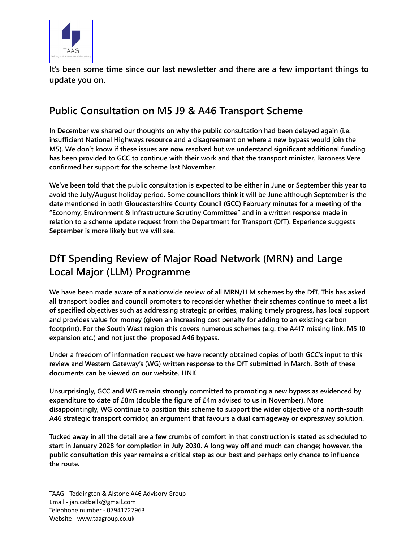

**It's been some time since our last newsletter and there are a few important things to update you on.** 

## **Public Consultation on M5 J9 & A46 Transport Scheme**

**In December we shared our thoughts on why the public consultation had been delayed again (i.e. insufficient National Highways resource and a disagreement on where a new bypass would join the M5). We don't know if these issues are now resolved but we understand significant additional funding has been provided to GCC to continue with their work and that the transport minister, Baroness Vere confirmed her support for the scheme last November.** 

**We've been told that the public consultation is expected to be either in June or September this year to avoid the July/August holiday period. Some councillors think it will be June although September is the date mentioned in both Gloucestershire County Council (GCC) February minutes for a meeting of the "Economy, Environment & Infrastructure Scrutiny Committee" and in a written response made in relation to a scheme update request from the Department for Transport (DfT). Experience suggests September is more likely but we will see.** 

## **DfT Spending Review of Major Road Network (MRN) and Large Local Major (LLM) Programme**

**We have been made aware of a nationwide review of all MRN/LLM schemes by the DfT. This has asked all transport bodies and council promoters to reconsider whether their schemes continue to meet a list of specified objectives such as addressing strategic priorities, making timely progress, has local support and provides value for money (given an increasing cost penalty for adding to an existing carbon footprint). For the South West region this covers numerous schemes (e.g. the A417 missing link, M5 10 expansion etc.) and not just the proposed A46 bypass.** 

**Under a freedom of information request we have recently obtained copies of both GCC's input to this review and Western Gateway's (WG) written response to the DfT submitted in March. Both of these documents can be viewed on our website. [LINK](https://taagroup.co.uk/taag-newsletter-and-reports/)**

**Unsurprisingly, GCC and WG remain strongly committed to promoting a new bypass as evidenced by expenditure to date of £8m (double the figure of £4m advised to us in November). More disappointingly, WG continue to position this scheme to support the wider objective of a north-south A46 strategic transport corridor, an argument that favours a dual carriageway or expressway solution.**

**Tucked away in all the detail are a few crumbs of comfort in that construction is stated as scheduled to start in January 2028 for completion in July 2030. A long way off and much can change; however, the public consultation this year remains a critical step as our best and perhaps only chance to influence the route.** 

TAAG - Teddington & Alstone A46 Advisory Group Email - jan.catbells@gmail.com Telephone number - 07941727963 Website - www.taagroup.co.uk